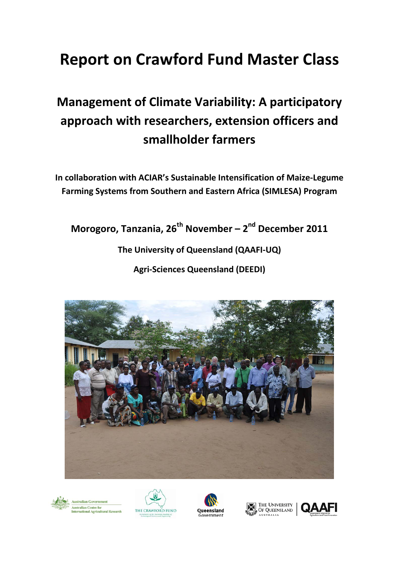# **Report on Crawford Fund Master Class**

# **Management of Climate Variability: A participatory approach with researchers, extension officers and smallholder farmers**

**In collaboration with ACIAR's Sustainable Intensification of Maize-Legume Farming Systems from Southern and Eastern Africa (SIMLESA) Program**

**Morogoro, Tanzania, 26th November – 2nd December 2011**

# **The University of Queensland (QAAFI-UQ)**

**Agri-Sciences Queensland (DEEDI)**











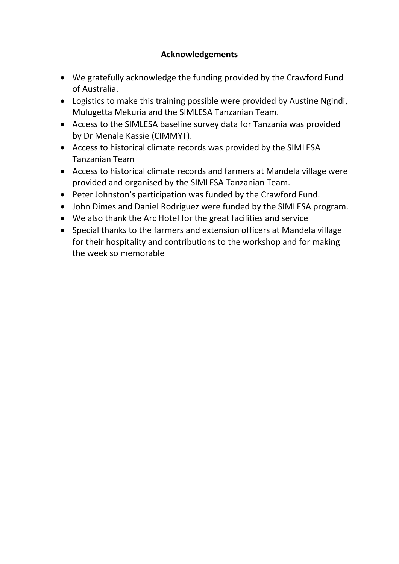## **Acknowledgements**

- We gratefully acknowledge the funding provided by the Crawford Fund of Australia.
- Logistics to make this training possible were provided by Austine Ngindi, Mulugetta Mekuria and the SIMLESA Tanzanian Team.
- Access to the SIMLESA baseline survey data for Tanzania was provided by Dr Menale Kassie (CIMMYT).
- Access to historical climate records was provided by the SIMLESA Tanzanian Team
- Access to historical climate records and farmers at Mandela village were provided and organised by the SIMLESA Tanzanian Team.
- Peter Johnston's participation was funded by the Crawford Fund.
- John Dimes and Daniel Rodriguez were funded by the SIMLESA program.
- We also thank the Arc Hotel for the great facilities and service
- Special thanks to the farmers and extension officers at Mandela village for their hospitality and contributions to the workshop and for making the week so memorable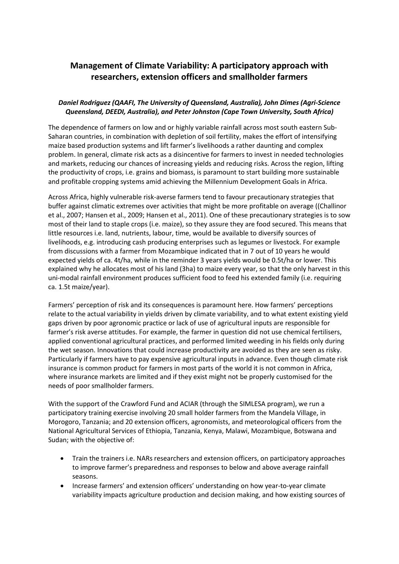### **Management of Climate Variability: A participatory approach with researchers, extension officers and smallholder farmers**

#### *Daniel Rodriguez (QAAFI, The University of Queensland, Australia), John Dimes (Agri-Science Queensland, DEEDI, Australia), and Peter Johnston (Cape Town University, South Africa)*

The dependence of farmers on low and or highly variable rainfall across most south eastern Sub-Saharan countries, in combination with depletion of soil fertility, makes the effort of intensifying maize based production systems and lift farmer's livelihoods a rather daunting and complex problem. In general, climate risk acts as a disincentive for farmers to invest in needed technologies and markets, reducing our chances of increasing yields and reducing risks. Across the region, lifting the productivity of crops, i.e. grains and biomass, is paramount to start building more sustainable and profitable cropping systems amid achieving the Millennium Development Goals in Africa.

Across Africa, highly vulnerable risk-averse farmers tend to favour precautionary strategies that buffer against climatic extremes over activities that might be more profitable on average ((Challinor et al., 2007; Hansen et al., 2009; Hansen et al., 2011). One of these precautionary strategies is to sow most of their land to staple crops (i.e. maize), so they assure they are food secured. This means that little resources i.e. land, nutrients, labour, time, would be available to diversify sources of livelihoods, e.g. introducing cash producing enterprises such as legumes or livestock. For example from discussions with a farmer from Mozambique indicated that in 7 out of 10 years he would expected yields of ca. 4t/ha, while in the reminder 3 years yields would be 0.5t/ha or lower. This explained why he allocates most of his land (3ha) to maize every year, so that the only harvest in this uni-modal rainfall environment produces sufficient food to feed his extended family (i.e. requiring ca. 1.5t maize/year).

Farmers' perception of risk and its consequences is paramount here. How farmers' perceptions relate to the actual variability in yields driven by climate variability, and to what extent existing yield gaps driven by poor agronomic practice or lack of use of agricultural inputs are responsible for farmer's risk averse attitudes. For example, the farmer in question did not use chemical fertilisers, applied conventional agricultural practices, and performed limited weeding in his fields only during the wet season. Innovations that could increase productivity are avoided as they are seen as risky. Particularly if farmers have to pay expensive agricultural inputs in advance. Even though climate risk insurance is common product for farmers in most parts of the world it is not common in Africa, where insurance markets are limited and if they exist might not be properly customised for the needs of poor smallholder farmers.

With the support of the Crawford Fund and ACIAR (through the SIMLESA program), we run a participatory training exercise involving 20 small holder farmers from the Mandela Village, in Morogoro, Tanzania; and 20 extension officers, agronomists, and meteorological officers from the National Agricultural Services of Ethiopia, Tanzania, Kenya, Malawi, Mozambique, Botswana and Sudan; with the objective of:

- Train the trainers i.e. NARs researchers and extension officers, on participatory approaches to improve farmer's preparedness and responses to below and above average rainfall seasons.
- Increase farmers' and extension officers' understanding on how year-to-year climate variability impacts agriculture production and decision making, and how existing sources of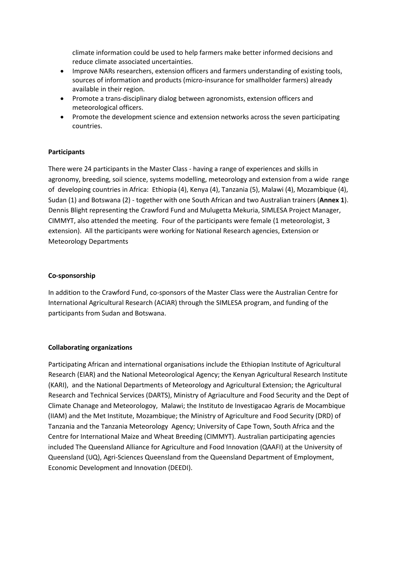climate information could be used to help farmers make better informed decisions and reduce climate associated uncertainties.

- Improve NARs researchers, extension officers and farmers understanding of existing tools, sources of information and products (micro-insurance for smallholder farmers) already available in their region.
- Promote a trans-disciplinary dialog between agronomists, extension officers and meteorological officers.
- Promote the development science and extension networks across the seven participating countries.

#### **Participants**

There were 24 participants in the Master Class - having a range of experiences and skills in agronomy, breeding, soil science, systems modelling, meteorology and extension from a wide range of developing countries in Africa: Ethiopia (4), Kenya (4), Tanzania (5), Malawi (4), Mozambique (4), Sudan (1) and Botswana (2) - together with one South African and two Australian trainers (**Annex 1**). Dennis Blight representing the Crawford Fund and Mulugetta Mekuria, SIMLESA Project Manager, CIMMYT, also attended the meeting. Four of the participants were female (1 meteorologist, 3 extension). All the participants were working for National Research agencies, Extension or Meteorology Departments

#### **Co-sponsorship**

In addition to the Crawford Fund, co-sponsors of the Master Class were the Australian Centre for International Agricultural Research (ACIAR) through the SIMLESA program, and funding of the participants from Sudan and Botswana.

#### **Collaborating organizations**

Participating African and international organisations include the Ethiopian Institute of Agricultural Research (EIAR) and the National Meteorological Agency; the Kenyan Agricultural Research Institute (KARI), and the National Departments of Meteorology and Agricultural Extension; the Agricultural Research and Technical Services (DARTS), Ministry of Agriaculture and Food Security and the Dept of Climate Chanage and Meteorologoy, Malawi; the Instituto de Investigacao Agraris de Mocambique (IIAM) and the Met Institute, Mozambique; the Ministry of Agriculture and Food Security (DRD) of Tanzania and the Tanzania Meteorology Agency; University of Cape Town, South Africa and the Centre for International Maize and Wheat Breeding (CIMMYT). Australian participating agencies included The Queensland Alliance for Agriculture and Food Innovation (QAAFI) at the University of Queensland (UQ), Agri-Sciences Queensland from the Queensland Department of Employment, Economic Development and Innovation (DEEDI).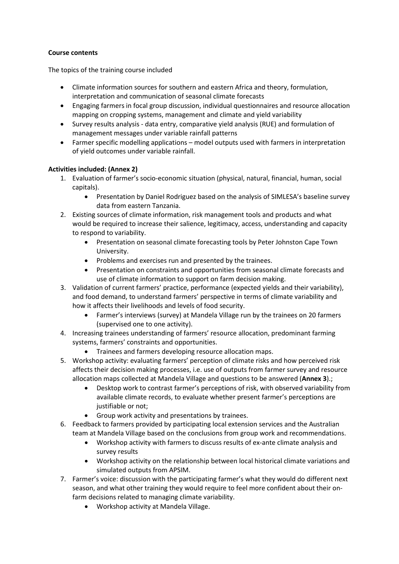#### **Course contents**

The topics of the training course included

- Climate information sources for southern and eastern Africa and theory, formulation, interpretation and communication of seasonal climate forecasts
- Engaging farmers in focal group discussion, individual questionnaires and resource allocation mapping on cropping systems, management and climate and yield variability
- Survey results analysis data entry, comparative yield analysis (RUE) and formulation of management messages under variable rainfall patterns
- Farmer specific modelling applications model outputs used with farmers in interpretation of yield outcomes under variable rainfall.

#### **Activities included: (Annex 2)**

- 1. Evaluation of farmer's socio-economic situation (physical, natural, financial, human, social capitals).
	- Presentation by Daniel Rodriguez based on the analysis of SIMLESA's baseline survey data from eastern Tanzania.
- 2. Existing sources of climate information, risk management tools and products and what would be required to increase their salience, legitimacy, access, understanding and capacity to respond to variability.
	- Presentation on seasonal climate forecasting tools by Peter Johnston Cape Town University.
	- Problems and exercises run and presented by the trainees.
	- Presentation on constraints and opportunities from seasonal climate forecasts and use of climate information to support on farm decision making.
- 3. Validation of current farmers' practice, performance (expected yields and their variability), and food demand, to understand farmers' perspective in terms of climate variability and how it affects their livelihoods and levels of food security.
	- Farmer's interviews (survey) at Mandela Village run by the trainees on 20 farmers (supervised one to one activity).
- 4. Increasing trainees understanding of farmers' resource allocation, predominant farming systems, farmers' constraints and opportunities.
	- Trainees and farmers developing resource allocation maps.
- 5. Workshop activity: evaluating farmers' perception of climate risks and how perceived risk affects their decision making processes, i.e. use of outputs from farmer survey and resource allocation maps collected at Mandela Village and questions to be answered (**Annex 3**).;
	- Desktop work to contrast farmer's perceptions of risk, with observed variability from available climate records, to evaluate whether present farmer's perceptions are justifiable or not;
	- Group work activity and presentations by trainees.
- 6. Feedback to farmers provided by participating local extension services and the Australian team at Mandela Village based on the conclusions from group work and recommendations.
	- Workshop activity with farmers to discuss results of ex-ante climate analysis and survey results
	- Workshop activity on the relationship between local historical climate variations and simulated outputs from APSIM.
- 7. Farmer's voice: discussion with the participating farmer's what they would do different next season, and what other training they would require to feel more confident about their onfarm decisions related to managing climate variability.
	- Workshop activity at Mandela Village.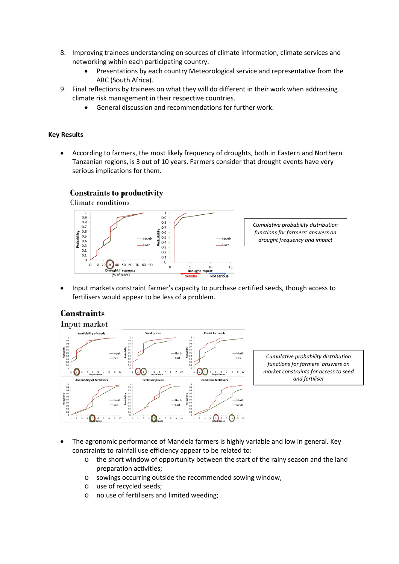- 8. Improving trainees understanding on sources of climate information, climate services and networking within each participating country.
	- Presentations by each country Meteorological service and representative from the ARC (South Africa).
- 9. Final reflections by trainees on what they will do different in their work when addressing climate risk management in their respective countries.
	- General discussion and recommendations for further work.

#### **Key Results**

• According to farmers, the most likely frequency of droughts, both in Eastern and Northern Tanzanian regions, is 3 out of 10 years. Farmers consider that drought events have very serious implications for them.

#### **Constraints to productivity**

**Climate conditions** 



• Input markets constraint farmer's capacity to purchase certified seeds, though access to fertilisers would appear to be less of a problem.

#### **Constraints**



*Cumulative probability distribution functions for farmers' answers on market constraints for access to seed and fertiliser*

- The agronomic performance of Mandela farmers is highly variable and low in general. Key constraints to rainfall use efficiency appear to be related to:
	- o the short window of opportunity between the start of the rainy season and the land preparation activities;
	- o sowings occurring outside the recommended sowing window,
	- o use of recycled seeds;
	- o no use of fertilisers and limited weeding;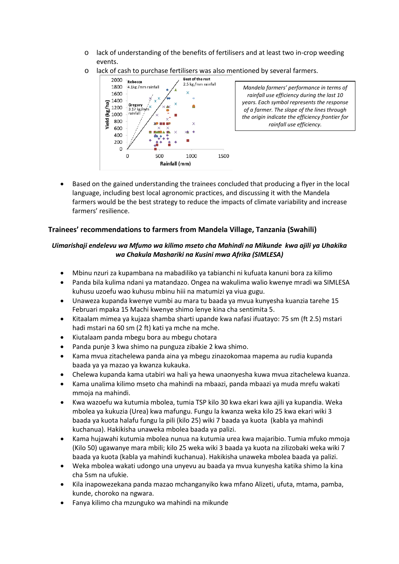- o lack of understanding of the benefits of fertilisers and at least two in-crop weeding events.
- o lack of cash to purchase fertilisers was also mentioned by several farmers.



*Mandela farmers' performance in terms of rainfall use efficiency during the last 10 years. Each symbol represents the response of a farmer. The slope of the lines through the origin indicate the efficiency frontier for rainfall use efficiency.*

• Based on the gained understanding the trainees concluded that producing a flyer in the local language, including best local agronomic practices, and discussing it with the Mandela farmers would be the best strategy to reduce the impacts of climate variability and increase farmers' resilience.

#### **Trainees' recommendations to farmers from Mandela Village, Tanzania (Swahili)**

#### *Uimarishaji endelevu wa Mfumo wa kilimo mseto cha Mahindi na Mikunde kwa ajili ya Uhakika wa Chakula Mashariki na Kusini mwa Afrika (SIMLESA)*

- Mbinu nzuri za kupambana na mabadiliko ya tabianchi ni kufuata kanuni bora za kilimo
- Panda bila kulima ndani ya matandazo. Ongea na wakulima walio kwenye mradi wa SIMLESA kuhusu uzoefu wao kuhusu mbinu hiii na matumizi ya viua gugu.
- Unaweza kupanda kwenye vumbi au mara tu baada ya mvua kunyesha kuanzia tarehe 15 Februari mpaka 15 Machi kwenye shimo lenye kina cha sentimita 5.
- Kitaalam mimea ya kujaza shamba sharti upande kwa nafasi ifuatayo: 75 sm (ft 2.5) mstari hadi mstari na 60 sm (2 ft) kati ya mche na mche.
- Kiutalaam panda mbegu bora au mbegu chotara
- Panda punje 3 kwa shimo na punguza zibakie 2 kwa shimo.
- Kama mvua zitachelewa panda aina ya mbegu zinazokomaa mapema au rudia kupanda baada ya ya mazao ya kwanza kukauka.
- Chelewa kupanda kama utabiri wa hali ya hewa unaonyesha kuwa mvua zitachelewa kuanza.
- Kama unalima kilimo mseto cha mahindi na mbaazi, panda mbaazi ya muda mrefu wakati mmoja na mahindi.
- Kwa wazoefu wa kutumia mbolea, tumia TSP kilo 30 kwa ekari kwa ajili ya kupandia. Weka mbolea ya kukuzia (Urea) kwa mafungu. Fungu la kwanza weka kilo 25 kwa ekari wiki 3 baada ya kuota halafu fungu la pili (kilo 25) wiki 7 baada ya kuota (kabla ya mahindi kuchanua). Hakikisha unaweka mbolea baada ya palizi.
- Kama hujawahi kutumia mbolea nunua na kutumia urea kwa majaribio. Tumia mfuko mmoja (Kilo 50) ugawanye mara mbili; kilo 25 weka wiki 3 baada ya kuota na zilizobaki weka wiki 7 baada ya kuota (kabla ya mahindi kuchanua). Hakikisha unaweka mbolea baada ya palizi.
- Weka mbolea wakati udongo una unyevu au baada ya mvua kunyesha katika shimo la kina cha 5sm na ufukie.
- Kila inapowezekana panda mazao mchanganyiko kwa mfano Alizeti, ufuta, mtama, pamba, kunde, choroko na ngwara.
- Fanya kilimo cha mzunguko wa mahindi na mikunde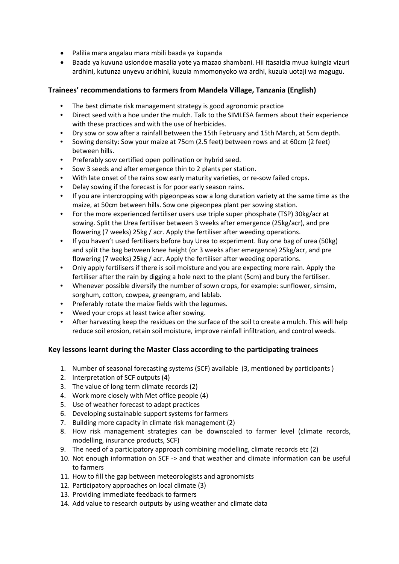- Palilia mara angalau mara mbili baada ya kupanda
- Baada ya kuvuna usiondoe masalia yote ya mazao shambani. Hii itasaidia mvua kuingia vizuri ardhini, kutunza unyevu aridhini, kuzuia mmomonyoko wa ardhi, kuzuia uotaji wa magugu.

#### **Trainees' recommendations to farmers from Mandela Village, Tanzania (English)**

- The best climate risk management strategy is good agronomic practice
- Direct seed with a hoe under the mulch. Talk to the SIMLESA farmers about their experience with these practices and with the use of herbicides.
- Dry sow or sow after a rainfall between the 15th February and 15th March, at 5cm depth.
- Sowing density: Sow your maize at 75cm (2.5 feet) between rows and at 60cm (2 feet) between hills.
- Preferably sow certified open pollination or hybrid seed.
- Sow 3 seeds and after emergence thin to 2 plants per station.
- With late onset of the rains sow early maturity varieties, or re-sow failed crops.
- Delay sowing if the forecast is for poor early season rains.
- If you are intercropping with pigeonpeas sow a long duration variety at the same time as the maize, at 50cm between hills. Sow one pigeonpea plant per sowing station.
- For the more experienced fertiliser users use triple super phosphate (TSP) 30kg/acr at sowing. Split the Urea fertiliser between 3 weeks after emergence (25kg/acr), and pre flowering (7 weeks) 25kg / acr. Apply the fertiliser after weeding operations.
- If you haven't used fertilisers before buy Urea to experiment. Buy one bag of urea (50kg) and split the bag between knee height (or 3 weeks after emergence) 25kg/acr, and pre flowering (7 weeks) 25kg / acr. Apply the fertiliser after weeding operations.
- Only apply fertilisers if there is soil moisture and you are expecting more rain. Apply the fertiliser after the rain by digging a hole next to the plant (5cm) and bury the fertiliser.
- Whenever possible diversify the number of sown crops, for example: sunflower, simsim, sorghum, cotton, cowpea, greengram, and lablab.
- Preferably rotate the maize fields with the legumes.
- Weed your crops at least twice after sowing.
- After harvesting keep the residues on the surface of the soil to create a mulch. This will help reduce soil erosion, retain soil moisture, improve rainfall infiltration, and control weeds.

#### **Key lessons learnt during the Master Class according to the participating trainees**

- 1. Number of seasonal forecasting systems (SCF) available (3, mentioned by participants )
- 2. Interpretation of SCF outputs (4)
- 3. The value of long term climate records (2)
- 4. Work more closely with Met office people (4)
- 5. Use of weather forecast to adapt practices
- 6. Developing sustainable support systems for farmers
- 7. Building more capacity in climate risk management (2)
- 8. How risk management strategies can be downscaled to farmer level (climate records, modelling, insurance products, SCF)
- 9. The need of a participatory approach combining modelling, climate records etc (2)
- 10. Not enough information on SCF -> and that weather and climate information can be useful to farmers
- 11. How to fill the gap between meteorologists and agronomists
- 12. Participatory approaches on local climate (3)
- 13. Providing immediate feedback to farmers
- 14. Add value to research outputs by using weather and climate data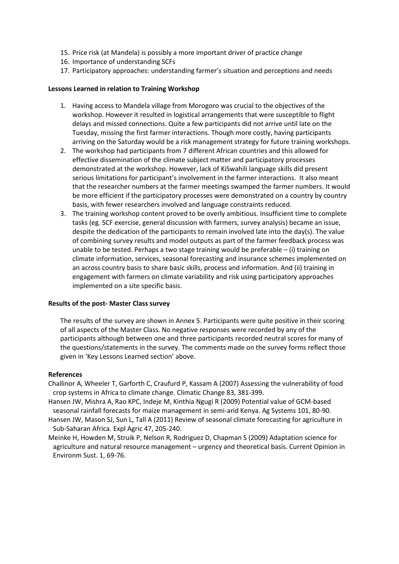- 15. Price risk (at Mandela) is possibly a more important driver of practice change
- 16. Importance of understanding SCFs
- 17. Participatory approaches: understanding farmer's situation and perceptions and needs

#### **Lessons Learned in relation to Training Workshop**

- 1. Having access to Mandela village from Morogoro was crucial to the objectives of the workshop. However it resulted in logistical arrangements that were susceptible to flight delays and missed connections. Quite a few participants did not arrive until late on the Tuesday, missing the first farmer interactions. Though more costly, having participants arriving on the Saturday would be a risk management strategy for future training workshops.
- 2. The workshop had participants from 7 different African countries and this allowed for effective dissemination of the climate subject matter and participatory processes demonstrated at the workshop. However, lack of KiSwahili language skills did present serious limitations for participant's involvement in the farmer interactions. It also meant that the researcher numbers at the farmer meetings swamped the farmer numbers. It would be more efficient if the participatory processes were demonstrated on a country by country basis, with fewer researchers involved and language constraints reduced.
- 3. The training workshop content proved to be overly ambitious. Insufficient time to complete tasks (eg. SCF exercise, general discussion with farmers, survey analysis) became an issue, despite the dedication of the participants to remain involved late into the day(s). The value of combining survey results and model outputs as part of the farmer feedback process was unable to be tested. Perhaps a two stage training would be preferable  $-$  (i) training on climate information, services, seasonal forecasting and insurance schemes implemented on an across country basis to share basic skills, process and information. And (ii) training in engagement with farmers on climate variability and risk using participatory approaches implemented on a site specific basis.

#### **Results of the post- Master Class survey**

The results of the survey are shown in Annex 5. Participants were quite positive in their scoring of all aspects of the Master Class. No negative responses were recorded by any of the participants although between one and three participants recorded neutral scores for many of the questions/statements in the survey. The comments made on the survey forms reflect those given in 'Key Lessons Learned section' above.

#### **References**

Challinor A, Wheeler T, Garforth C, Craufurd P, Kassam A (2007) Assessing the vulnerability of food crop systems in Africa to climate change. Climatic Change 83, 381-399.

- Hansen JW, Mishra A, Rao KPC, Indeje M, Kinthia Ngugi R (2009) Potential value of GCM-based seasonal rainfall forecasts for maize management in semi-arid Kenya. Ag Systems 101, 80-90.
- Hansen JW, Mason SJ, Sun L, Tall A (2011) Review of seasonal climate forecasting for agriculture in Sub-Saharan Africa. Expl Agric 47, 205-240.
- Meinke H, Howden M, Struik P, Nelson R, Rodriguez D, Chapman S (2009) Adaptation science for agriculture and natural resource management – urgency and theoretical basis. Current Opinion in Environm Sust. 1, 69-76.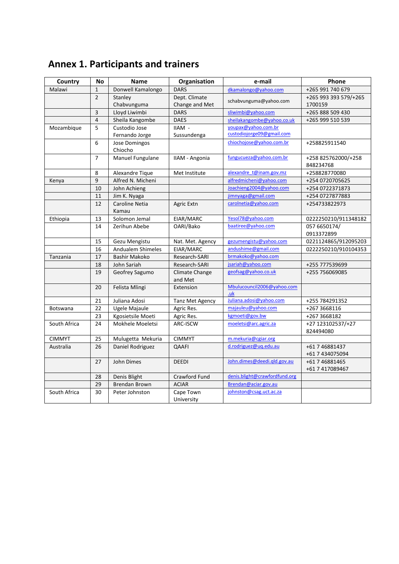| Country       | <b>No</b>      | <b>Name</b>              | Organisation     | e-mail                        | <b>Phone</b>          |
|---------------|----------------|--------------------------|------------------|-------------------------------|-----------------------|
| Malawi        | $\mathbf{1}$   | Donwell Kamalongo        | <b>DARS</b>      | dkamalongo@yahoo.com          | +265 991 740 679      |
|               | $\overline{2}$ | Stanley                  | Dept. Climate    | schabvunguma@yahoo.com        | +265 993 393 579/+265 |
|               |                | Chabvunguma              | Change and Met   |                               | 1700159               |
|               | 3              | Lloyd Liwimbi            | <b>DARS</b>      | sliwimbi@yahoo.com            | +265 888 509 430      |
|               | $\overline{4}$ | Sheila Kangombe          | <b>DAES</b>      | sheilakangombe@yahoo.co.uk    | +265 999 510 539      |
| Mozambique    | 5              | Custodio Jose            | IIAM -           | youpax@yahoo.com.br           |                       |
|               |                | Fernando Jorge           | Sussundenga      | custodiojorge09@gmail.com     |                       |
|               | 6              | Jose Domingos            |                  | chiochojose@yahoo.com.br      | +258825911540         |
|               |                | Chiocho                  |                  |                               |                       |
|               | $\overline{7}$ | Manuel Fungulane         | IIAM - Angonia   | fungucueza@yahoo.com.br       | +258 825762000/+258   |
|               |                |                          |                  |                               | 848234768             |
|               | 8              | Alexandre Tique          | Met Institute    | alexandre_t@inam.gov.mz       | +258828770080         |
| Kenya         | 9              | Alfred N. Micheni        |                  | alfredmicheni@yahoo.com       | +254 0720705625       |
|               | 10             | John Achieng             |                  | Joachieng2004@yahoo.com       | +254 0722371873       |
|               | 11             | Jim K. Nyaga             |                  | jimnyaga@gmail.com            | +254 0727877883       |
|               | 12             | Caroline Netia           | Agric Extn       | carolnetia@yahoo.com          | +254733822973         |
|               |                | Kamau                    |                  |                               |                       |
| Ethiopia      | 13             | Solomon Jemal            | EIAR/MARC        | Yesol78@yahoo.com             | 0222250210/911348182  |
|               | 14             | Zerihun Abebe            | OARI/Bako        | baatiree@yahoo.com            | 057 6650174/          |
|               |                |                          |                  |                               | 0913372899            |
|               | 15             | Gezu Mengistu            | Nat. Met. Agency | gezumengistu@yahoo.com        | 0221124865/912095203  |
|               | 16             | <b>Andualem Shimeles</b> | EIAR/MARC        | andushime@gmail.com           | 0222250210/910104353  |
| Tanzania      | 17             | <b>Bashir Makoko</b>     | Research-SARI    | brmakoko@yahoo.com            |                       |
|               | 18             | John Sariah              | Research-SARI    | jsariah@yahoo.com             | +255 777539699        |
|               | 19             | Geofrey Sagumo           | Climate Change   | geofsag@yahoo.co.uk           | +255 756069085        |
|               |                |                          | and Met          |                               |                       |
|               | 20             | Felista Mlingi           | Extension        | Mbulucouncil2006@yahoo.com    |                       |
|               |                |                          |                  | .uk                           |                       |
|               | 21             | Juliana Adosi            | Tanz Met Agency  | Juliana.adosi@yahoo.com       | +255 784291352        |
| Botswana      | 22             | Ugele Majaule            | Agric Res.       | majauleu@yahoo.com            | +267 3668116          |
|               | 23             | Kgosietsile Moeti        | Agric Res.       | kgmoeti@gov.bw                | +267 3668182          |
| South Africa  | 24             | Mokhele Moeletsi         | ARC-ISCW         | moeletsi@arc.agric.za         | +27 123102537/+27     |
|               |                |                          |                  |                               | 824494080             |
| <b>CIMMYT</b> | 25             | Mulugetta Mekuria        | <b>CIMMYT</b>    | m.mekuria@cgiar.org           |                       |
| Australia     | 26             | Daniel Rodriguez         | QAAFI            | d.rodriguez@uq.edu.au         | +61 7 46881437        |
|               |                |                          |                  |                               | +61 7 434075094       |
|               | 27             | John Dimes               | <b>DEEDI</b>     | John.dimes@deedi.gld.gov.au   | +61 7 46881465        |
|               |                |                          |                  |                               | +61 7 417089467       |
|               | 28             | Denis Blight             | Crawford Fund    | denis.blight@crawfordfund.org |                       |
|               | 29             | <b>Brendan Brown</b>     | <b>ACIAR</b>     | Brendan@aciar.gov.au          |                       |
| South Africa  | 30             | Peter Johnston           | Cape Town        | johnston@csag.uct.ac.za       |                       |
|               |                |                          | University       |                               |                       |

# **Annex 1. Participants and trainers**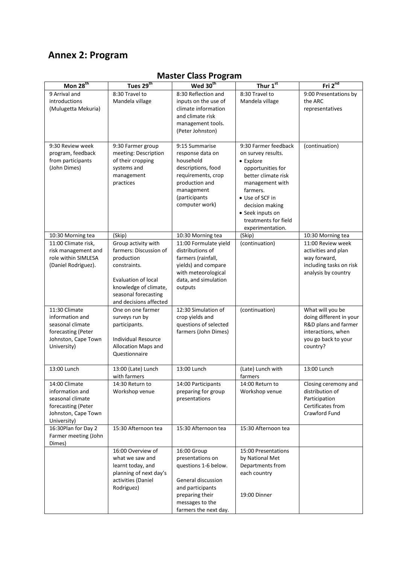# **Annex 2: Program**

| Mon 28 <sup>th</sup>                      | Tues 29 <sup>th</sup>                         | Wed 30 <sup>th</sup>                       | Thur $1st$                             | Fri $2^{nd}$                              |
|-------------------------------------------|-----------------------------------------------|--------------------------------------------|----------------------------------------|-------------------------------------------|
| 9 Arrival and                             | 8:30 Travel to                                | 8:30 Reflection and                        | 8:30 Travel to                         | 9:00 Presentations by                     |
| introductions                             | Mandela village                               | inputs on the use of                       | Mandela village                        | the ARC                                   |
| (Mulugetta Mekuria)                       |                                               | climate information                        |                                        | representatives                           |
|                                           |                                               | and climate risk                           |                                        |                                           |
|                                           |                                               | management tools.                          |                                        |                                           |
|                                           |                                               | (Peter Johnston)                           |                                        |                                           |
| 9:30 Review week                          | 9:30 Farmer group                             | 9:15 Summarise                             | 9:30 Farmer feedback                   | (continuation)                            |
| program, feedback                         | meeting: Description                          | response data on                           | on survey results.                     |                                           |
| from participants                         | of their cropping                             | household                                  | • Explore                              |                                           |
| (John Dimes)                              | systems and                                   | descriptions, food                         | opportunities for                      |                                           |
|                                           | management<br>practices                       | requirements, crop<br>production and       | better climate risk<br>management with |                                           |
|                                           |                                               | management                                 | farmers.                               |                                           |
|                                           |                                               | (participants                              | • Use of SCF in                        |                                           |
|                                           |                                               | computer work)                             | decision making                        |                                           |
|                                           |                                               |                                            | • Seek inputs on                       |                                           |
|                                           |                                               |                                            | treatments for field                   |                                           |
|                                           |                                               |                                            | experimentation.<br>(Skip)             |                                           |
| 10:30 Morning tea<br>11:00 Climate risk,  | (Skip)<br>Group activity with                 | 10:30 Morning tea<br>11:00 Formulate yield | (continuation)                         | 10:30 Morning tea<br>11:00 Review week    |
| risk management and                       | farmers: Discussion of                        | distributions of                           |                                        | activities and plan                       |
| role within SIMLESA                       | production                                    | farmers (rainfall,                         |                                        | way forward,                              |
| (Daniel Rodriguez).                       | constraints.                                  | yields) and compare                        |                                        | including tasks on risk                   |
|                                           |                                               | with meteorological                        |                                        | analysis by country                       |
|                                           | <b>Evaluation of local</b>                    | data, and simulation                       |                                        |                                           |
|                                           | knowledge of climate,<br>seasonal forecasting | outputs                                    |                                        |                                           |
|                                           | and decisions affected                        |                                            |                                        |                                           |
| 11:30 Climate                             | One on one farmer                             | 12:30 Simulation of                        | (continuation)                         | What will you be                          |
| information and                           | surveys run by                                | crop yields and                            |                                        | doing different in your                   |
| seasonal climate                          | participants.                                 | questions of selected                      |                                        | R&D plans and farmer                      |
| forecasting (Peter<br>Johnston, Cape Town | <b>Individual Resource</b>                    | farmers (John Dimes)                       |                                        | interactions, when<br>you go back to your |
| University)                               | Allocation Maps and                           |                                            |                                        | country?                                  |
|                                           | Questionnaire                                 |                                            |                                        |                                           |
|                                           |                                               |                                            |                                        |                                           |
| 13:00 Lunch                               | 13:00 (Late) Lunch                            | 13:00 Lunch                                | (Late) Lunch with                      | 13:00 Lunch                               |
|                                           | with farmers                                  |                                            | farmers                                |                                           |
| 14:00 Climate<br>information and          | 14:30 Return to<br>Workshop venue             | 14:00 Participants<br>preparing for group  | 14:00 Return to<br>Workshop venue      | Closing ceremony and<br>distribution of   |
| seasonal climate                          |                                               | presentations                              |                                        | Participation                             |
| forecasting (Peter                        |                                               |                                            |                                        | Certificates from                         |
| Johnston, Cape Town                       |                                               |                                            |                                        | Crawford Fund                             |
| University)                               |                                               |                                            |                                        |                                           |
| 16:30Plan for Day 2                       | 15:30 Afternoon tea                           | 15:30 Afternoon tea                        | 15:30 Afternoon tea                    |                                           |
| Farmer meeting (John<br>Dimes)            |                                               |                                            |                                        |                                           |
|                                           | 16:00 Overview of                             | 16:00 Group                                | 15:00 Presentations                    |                                           |
|                                           | what we saw and                               | presentations on                           | by National Met                        |                                           |
|                                           | learnt today, and                             | questions 1-6 below.                       | Departments from                       |                                           |
|                                           | planning of next day's                        |                                            | each country                           |                                           |
|                                           | activities (Daniel<br>Rodriguez)              | General discussion<br>and participants     |                                        |                                           |
|                                           |                                               | preparing their                            | 19:00 Dinner                           |                                           |
|                                           |                                               | messages to the                            |                                        |                                           |
|                                           |                                               | farmers the next day.                      |                                        |                                           |

# **Master Class Program**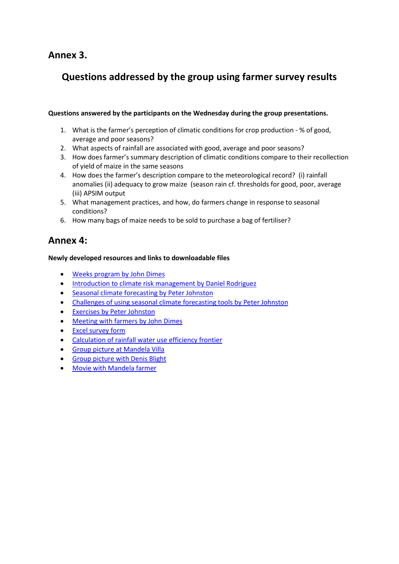## **Annex 3.**

# **Questions addressed by the group using farmer survey results**

#### **Questions answered by the participants on the Wednesday during the group presentations.**

- 1. What is the farmer's perception of climatic conditions for crop production % of good, average and poor seasons?
- 2. What aspects of rainfall are associated with good, average and poor seasons?
- 3. How does farmer's summary description of climatic conditions compare to their recollection of yield of maize in the same seasons
- 4. How does the farmer's description compare to the meteorological record? (i) rainfall anomalies (ii) adequacy to grow maize (season rain cf. thresholds for good, poor, average (iii) APSIM output
- 5. What management practices, and how, do farmers change in response to seasonal conditions?
- 6. How many bags of maize needs to be sold to purchase a bag of fertiliser?

# **Annex 4:**

#### **Newly developed resources and links to downloadable files**

- [Weeks program by John Dimes](http://dl.dropbox.com/u/20788757/Climate%20Risk%20Training/Weeks_program.ppt)
- [Introduction to climate risk management by Daniel Rodriguez](http://dl.dropbox.com/u/20788757/Climate%20Risk%20Training/climate%20risk_DR%20introduction.pptx)
- [Seasonal climate forecasting by Peter Johnston](http://dl.dropbox.com/u/20788757/Climate%20Risk%20Training/Sf%20presentation.pptx)
- [Challenges of using seasonal climate forecasting tools](http://dl.dropbox.com/u/20788757/Climate%20Risk%20Training/challenge-PJ.pptx) by Peter Johnston
- [Exercises by Peter Johnston](http://dl.dropbox.com/u/20788757/Climate%20Risk%20Training/Task.pptx)
- [Meeting with farmers by John Dimes](http://dl.dropbox.com/u/20788757/Climate%20Risk%20Training/Farmer_meeting.ppt)
- [Excel survey form](http://dl.dropbox.com/u/20788757/Climate%20Risk%20Training/Survey%20Final.xls)
- [Calculation of rainfall water use efficiency frontier](http://dl.dropbox.com/u/20788757/Climate%20Risk%20Training/Survey%20Final.xls)
- [Group picture at Mandela Villa](http://dl.dropbox.com/u/20788757/Climate%20Risk%20Training/DSC_0073_reduced%20size.jpg)
- [Group picture with Denis Blight](http://dl.dropbox.com/u/20788757/Climate%20Risk%20Training/DSC_0073_reduced%20size.jpg)
- [Movie with Mandela farmer](http://dl.dropbox.com/u/20788757/Climate%20Risk%20Training/Survey%20Final.xls)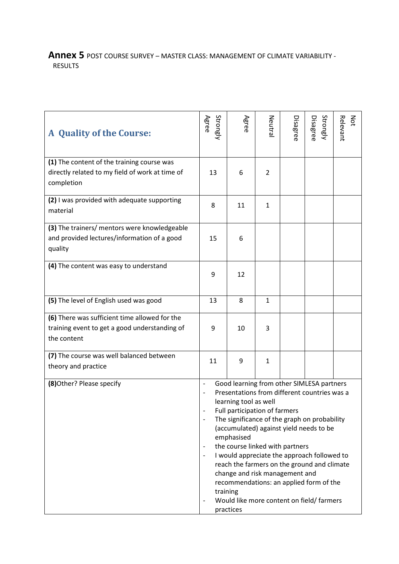## **Annex 5** POST COURSE SURVEY – MASTER CLASS: MANAGEMENT OF CLIMATE VARIABILITY - RESULTS

| <b>A</b> Quality of the Course:                                 | Strongly<br>Agree                                                                                                                                                                                                                                                                                                                                                                                                                                                                                                                                                                                                                                                | Agree | Neutra       | Disagree | Strongly<br>Disagree | Νά<br>Relevant |
|-----------------------------------------------------------------|------------------------------------------------------------------------------------------------------------------------------------------------------------------------------------------------------------------------------------------------------------------------------------------------------------------------------------------------------------------------------------------------------------------------------------------------------------------------------------------------------------------------------------------------------------------------------------------------------------------------------------------------------------------|-------|--------------|----------|----------------------|----------------|
| (1) The content of the training course was                      |                                                                                                                                                                                                                                                                                                                                                                                                                                                                                                                                                                                                                                                                  |       |              |          |                      |                |
| directly related to my field of work at time of<br>completion   | 13                                                                                                                                                                                                                                                                                                                                                                                                                                                                                                                                                                                                                                                               | 6     | 2            |          |                      |                |
| (2) I was provided with adequate supporting<br>material         | 8                                                                                                                                                                                                                                                                                                                                                                                                                                                                                                                                                                                                                                                                | 11    | $\mathbf{1}$ |          |                      |                |
| (3) The trainers/ mentors were knowledgeable                    |                                                                                                                                                                                                                                                                                                                                                                                                                                                                                                                                                                                                                                                                  |       |              |          |                      |                |
| and provided lectures/information of a good<br>quality          | 15                                                                                                                                                                                                                                                                                                                                                                                                                                                                                                                                                                                                                                                               | 6     |              |          |                      |                |
| (4) The content was easy to understand                          | 9                                                                                                                                                                                                                                                                                                                                                                                                                                                                                                                                                                                                                                                                | 12    |              |          |                      |                |
| (5) The level of English used was good                          | 13                                                                                                                                                                                                                                                                                                                                                                                                                                                                                                                                                                                                                                                               | 8     | 1            |          |                      |                |
| (6) There was sufficient time allowed for the                   |                                                                                                                                                                                                                                                                                                                                                                                                                                                                                                                                                                                                                                                                  |       |              |          |                      |                |
| training event to get a good understanding of<br>the content    | 9                                                                                                                                                                                                                                                                                                                                                                                                                                                                                                                                                                                                                                                                | 10    | 3            |          |                      |                |
|                                                                 |                                                                                                                                                                                                                                                                                                                                                                                                                                                                                                                                                                                                                                                                  |       |              |          |                      |                |
| (7) The course was well balanced between<br>theory and practice | 11                                                                                                                                                                                                                                                                                                                                                                                                                                                                                                                                                                                                                                                               | 9     | $\mathbf{1}$ |          |                      |                |
| (8) Other? Please specify                                       | Good learning from other SIMLESA partners<br>$\overline{\phantom{a}}$<br>Presentations from different countries was a<br>learning tool as well<br>Full participation of farmers<br>The significance of the graph on probability<br>$\overline{\phantom{a}}$<br>(accumulated) against yield needs to be<br>emphasised<br>the course linked with partners<br>$\overline{\phantom{a}}$<br>I would appreciate the approach followed to<br>$\overline{\phantom{a}}$<br>reach the farmers on the ground and climate<br>change and risk management and<br>recommendations: an applied form of the<br>training<br>Would like more content on field/ farmers<br>practices |       |              |          |                      |                |